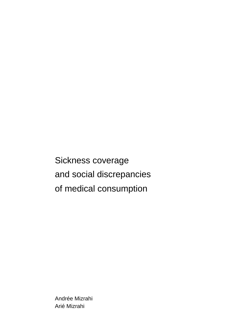Sickness coverage and social discrepancies of medical consumption

Andrée Mizrahi Arié Mizrahi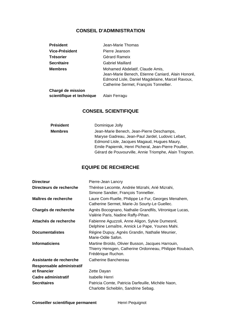# **CONSEIL D'ADMINISTRATION**

| <b>Président</b>  | Jean-Marie Thomas                                                                                                                                                                 |
|-------------------|-----------------------------------------------------------------------------------------------------------------------------------------------------------------------------------|
| Vice-Président    | Pierre Jeanson                                                                                                                                                                    |
| <b>Trésorier</b>  | Gérard Rameix                                                                                                                                                                     |
| <b>Secrétaire</b> | Gabriel Maillard                                                                                                                                                                  |
| <b>Membres</b>    | Mohamed Abdelatif, Claude Amis,<br>Jean-Marie Benech, Etienne Caniard, Alain Honoré,<br>Edmond Lisle, Daniel Magdelaine, Marcel Ravoux,<br>Catherine Sermet, François Tonnellier. |
| Chargé de mission |                                                                                                                                                                                   |

# **CONSEIL SCIENTIFIQUE**

 **scientifique et technique** Alain Ferragu

| <b>Président</b> | Dominique Jolly                                        |
|------------------|--------------------------------------------------------|
| <b>Membres</b>   | Jean-Marie Benech, Jean-Pierre Deschamps,              |
|                  | Maryse Gadreau, Jean-Paul Jardel, Ludovic Lebart,      |
|                  | Edmond Lisle, Jacques Magaud, Hugues Maury,            |
|                  | Emile Papiernik, Henri Picheral, Jean-Pierre Poullier, |
|                  | Gérard de Pouvourville, Annie Triomphe, Alain Trognon. |

# **EQUIPE DE RECHERCHE**

| <b>Directeur</b>           | Pierre-Jean Lancry                                                                                                                 |
|----------------------------|------------------------------------------------------------------------------------------------------------------------------------|
| Directeurs de recherche    | Thérèse Lecomte, Andrée Mizrahi, Arié Mizrahi,<br>Simone Sandier, François Tonnellier.                                             |
| Maîtres de recherche       | Laure Com-Ruelle, Philippe Le Fur, Georges Menahem,<br>Catherine Sermet, Marie-Jo Sourty-Le Guellec.                               |
| Chargés de recherche       | Agnès Bocognano, Nathalie Grandfils, Véronique Lucas,<br>Valérie Paris, Nadine Raffy-Pihan.                                        |
| Attachés de recherche      | Fabienne Aguzzoli, Anne Aligon, Sylvie Dumesnil,<br>Delphine Lemaître, Annick Le Pape, Younes Mahi.                                |
| <b>Documentalistes</b>     | Régine Dupuy, Agnès Grandin, Nathalie Meunier,<br>Marie-Odile Safon.                                                               |
| <b>Informaticiens</b>      | Martine Broïdo, Olivier Busson, Jacques Harrouin,<br>Thierry Hensgen, Catherine Ordonneau, Philippe Roubach,<br>Frédérique Ruchon. |
| Assistante de recherche    | Catherine Banchereau                                                                                                               |
| Responsable administratif  |                                                                                                                                    |
| et financier               | Zette Dayan                                                                                                                        |
| <b>Cadre administratif</b> | Isabelle Henri                                                                                                                     |
| <b>Secrétaires</b>         | Patricia Comte, Patricia Darfeuille, Michèle Naon,<br>Charlotte Scheiblin, Sandrine Sebag.                                         |

**Conseiller scientifique permanent** Henri Pequignot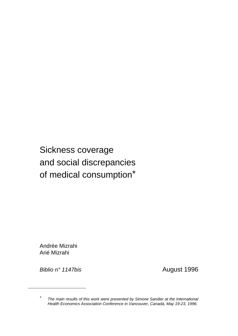# Sickness coverage and social discrepancies of medical consumption\*

Andrée Mizrahi Arié Mizrahi

*Biblio n° 1147bis* August 1996

1

*<sup>\*</sup> The main results of this work were presented by Simone Sandier at the International Health Economics Association Conference in Vancouver, Canada, May 19-23, 1996.*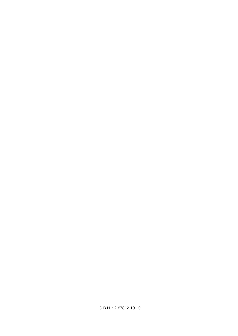I.S.B.N. : 2-87812-191-0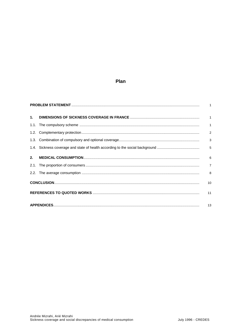# Plan

| 1 <sup>1</sup> |                 |
|----------------|-----------------|
|                |                 |
|                | $\overline{2}$  |
|                | 3               |
|                |                 |
| 2 <sup>2</sup> | $6\overline{6}$ |
|                | $\overline{7}$  |
|                | 8               |
|                | 10              |
|                | 11              |
|                | 13              |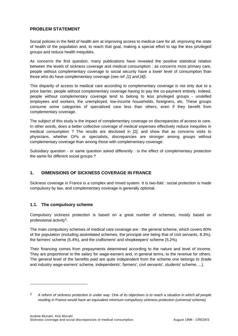# **PROBLEM STATEMENT**

Social policies in the field of health aim at improving access to medical care for all, improving the state of health of the population and, to reach that goal, making a special effort to tap the less privileged groups and reduce health inequities.

As concerns the first question, many publications have revealed the positive statistical relation between the levels of sickness coverage and medical consumption : as concerns most primary care, people without complementary coverage to social security have a lower level of consumption than those who do have complementary coverage (*see ref. [1] and [4]*).

This disparity of access to medical care according to complementary coverage is not only due to a price barrier, people without complementary coverage having to pay the co-payment entirely. Indeed, people without complementary coverage tend to belong to less privileged groups - unskilled employees and workers, the unemployed, low-income households, foreigners, etc. These groups consume some categories of specialized care less than others, even if they benefit from complementary coverage.

The subject of this study is the impact of complementary coverage on discrepancies of access to care. In other words, does a better collective coverage of medical expenses effectively reduce inequities in medical consumption ? The results are disclosed in *[2]*, and show that as concerns visits to physicians, whether GPs or specialists, discrepancies are stronger among groups without complementary coverage than among those with complementary coverage.

Subsidiary question - or same question asked differently : is the effect of complementary protection the same for different social groups ?

# **1. DIMENSIONS OF SICKNESS COVERAGE IN FRANCE**

Sickness coverage in France is a complex and mixed system. It is two-fold : social protection is made compulsory by law, and complementary coverage is generally optional.

# **1.1. The compulsory scheme**

l

Compulsory sickness protection is based on a great number of schemes, mostly based on professional activity1.

The main compulsory schemes of medical care coverage are : the general scheme, which covers 80% of the population (including assimilated schemes, the principal one being that of civil servants, 8.3%), the farmers' scheme (5.4%), and the craftsmens' and shopkeepers' scheme (5.2%).

Their financing comes from prepayments determined according to the nature and level of income. They are proportional to the salary for wage-earners and, in general terms, to the revenue for others. The general level of the benefits paid are quite independent from the scheme one belongs to (trade and industry wage-earners' scheme, independents', farmers', civil servants', students' scheme, ...).

*<sup>1</sup> A reform of sickness protection is under way. One of its objectives is to reach a situation in which all people residing in France would have an equivalent minimum compulsory sickness protection (universal scheme).*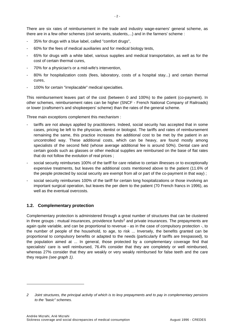There are six rates of reimbursement in the trade and industry wage-earners' general scheme, as there are in a few other schemes (civil servants, students,...) and in the farmers' scheme :

- 35% for drugs with a blue label, called "comfort drugs",
- 60% for the fees of medical auxiliaries and for medical biology tests,
- 65% for drugs with a white label, various supplies and medical transportation, as well as for the cost of certain thermal cures,
- 70% for a physician's or a mid-wife's intervention,
- 80% for hospitalization costs (fees, laboratory, costs of a hospital stay...) and certain thermal cures,
- 100% for certain "irreplacable" medical specialties.

This reimbursement leaves part of the cost (between 0 and 100%) to the patient (co-payment). In other schemes, reimbursement rates can be higher (SNCF - French National Company of Railroads) or lower (craftsmen's and shopkeepers' scheme) than the rates of the general scheme.

Three main exceptions complement this mechanism :

- tariffs are not always applied by practitioners. Indeed, social security has accepted that in some cases, pricing be left to the physician, dentist or biologist. The tariffs and rates of reimbursement remaining the same, this practice increases the additional cost to be met by the patient in an uncontrolled way. These additional costs, which can be heavy, are found mostly among specialists of the second field (whose average additional fee is around 50%). Dental care and certain goods such as glasses or other medical supplies are reimbursed on the base of flat rates that do not follow the evolution of real prices ;
- social security reimburses 100% of the tariff for care relative to certain illnesses or to exceptionally expensive treatments, but leaves the additional costs mentioned above to the patient (11.6% of the people protected by social security are exempt from all or part of the co-payment in that way) ;
- social security reimburses 100% of the tariff for certain long hospitalizations or those involving an important surgical operation, but leaves the per diem to the patient (70 French francs in 1996), as well as the eventual overcosts.

# **1.2. Complementary protection**

l

Complementary protection is administered through a great number of structures that can be clustered in three groups : mutual insurances, providence funds<sup>2</sup> and private insurances. The prepayments are again quite variable, and can be proportional to revenue - as in the case of compulsory protection -, to the number of people of the household, to age, to risk ... Inversely, the benefits granted can be proportional to compulsory benefits or adapted to the needs (particularly if tariffs are trespassed), to the population aimed at ... In general, those protected by a complementary coverage find that specialists' care is well reimbursed, 76.4% consider that they are completely or well reimbursed, whereas 27% consider that they are weakly or very weakly reimbursed for false teeth and the care they require *(see graph 1).*

*<sup>2</sup> Joint structures, the principal activity of which is to levy prepayments and to pay in complementary pensions to the "basic" schemes.*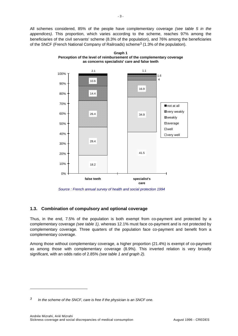All schemes considered, 85% of the people have complementary coverage *(see table 5 in the appendices).* This proportion, which varies according to the scheme, reaches 97% among the beneficiaries of the civil servants' scheme (8.3% of the population), and 76% among the beneficiaries of the SNCF (French National Company of Railroads) scheme<sup>3</sup> (1.3% of the population).



**Graph 1 Perception of the level of reimbursement of the complementary coverage as concerns specialists' care and false teeth** 

 *Source : French annual survey of health and social protection 1994* 

# **1.3. Combination of compulsory and optional coverage**

Thus, in the end, 7.5% of the population is both exempt from co-payment and protected by a complementary coverage *(see table 1),* whereas 12.1% must face co-payment and is not protected by complementary coverage. Three quarters of the population face co-payment and benefit from a complementary coverage.

Among those without complementary coverage, a higher proportion (21.4%) is exempt of co-payment as among those with complementary coverage (8.9%). This inverted relation is very broadly significant, with an odds ratio of 2.85% *(see table 1 and graph 2).*

l

*<sup>3</sup> In the scheme of the SNCF, care is free if the physician is an SNCF one.*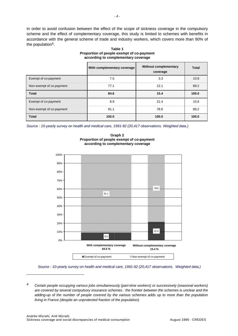In order to avoid confusion between the effect of the scope of sickness coverage in the compulsory scheme and the effect of complementary coverage, this study is limited to schemes with benefits in accordance with the general scheme of trade and industry workers, which covers more than 90% of the population<sup>4</sup>.

|                          | With complementary coverage | <b>Without complementary</b><br>coverage | <b>Total</b> |
|--------------------------|-----------------------------|------------------------------------------|--------------|
| Exempt of co-payment     | 7.5                         | 3.3                                      | 10.8<br>     |
| Non-exempt of co-payment | 77.1                        | 12.1                                     | 89.2         |
| <b>Total</b>             | 84.6                        | 15.4                                     | 100.0        |
| Exempt of co-payment     | 8.9                         | 21.4                                     | 10.8         |
| Non-exempt of co-payment | 91.1                        | 78.6                                     | 89.2         |
| <b>Total</b>             | 100.0                       | 100.0                                    | 100.0        |

**Table 1 Proportion of people exempt of co-payment according to complementary coverage** 

*Source : 10-yearly survey on health and medical care, 1991-92 (20,417 observations. Weighted data.)* 



**Graph 2 Proportion of people exempt of co-payment according to complementary coverage** 

 *Source : 10-yearly survey on health and medical care, 1991-92 (20,417 observations. Weighted data.)* 

l

*<sup>4</sup> Certain people occupying various jobs simultaneously (part-time workers) or successively (seasonal workers) are covered by several compulsory insurance schemes : the frontier between the schemes is unclear and the adding-up of the number of people covered by the various schemes adds up to more than the population living in France (despite an unprotected fraction of the population).*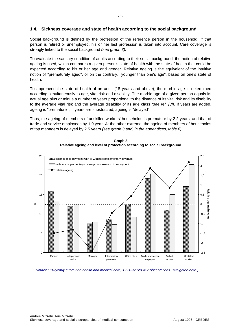### **1.4. Sickness coverage and state of health according to the social background**

Social background is defined by the profession of the reference person in the household. If that person is retired or unemployed, his or her last profession is taken into account. Care coverage is strongly linked to the social background *(see graph 3).*

To evaluate the sanitary condition of adults according to their social background, the notion of relative ageing is used, which compares a given person's state of health with the state of health that could be expected according to his or her age and gender. Relative ageing is the equivalent of the intuitive notion of "prematurely aged", or on the contrary, "younger than one's age", based on one's state of health.

To apprehend the state of health of an adult (18 years and above), the morbid age is determined according simultaneously to age, vital risk and disability. The morbid age of a given person equals its actual age plus or minus a number of years proportional to the distance of its vital risk and its disability to the average vital risk and the average disability of its age class *(see ref. [3]).* If years are added, ageing is "premature" ; if years are substracted, ageing is "delayed".

Thus, the ageing of members of unskilled workers' households is premature by 2.2 years, and that of trade and service employees by 1.9 year. At the other extreme, the ageing of members of households of top managers is delayed by 2.5 years *(see graph 3 and, in the appendices, table 6).*



**Graph 3 Relative ageing and level of protection according to social background**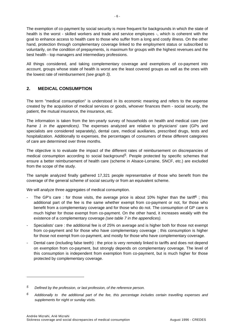The exemption of co-payment by social security is more frequent for backgrounds in which the state of health is the worst - skilled workers and trade and service employees -, which is coherent with the goal to enhance access to health care to those who suffer from a long and costly illness. On the other hand, protection through complementary coverage linked to the employment status or subscribed to voluntarily, on the condition of prepayments, is maximum for groups with the highest revenues and the best health - top managers and intermediary professions.

All things considered, and taking complementary coverage and exemptions of co-payment into account, groups whose state of health is worst are the least covered groups as well as the ones with the lowest rate of reimbursement *(see graph 3).*

# **2. MEDICAL CONSUMPTION**

The term "medical consumption" is understood in its economic meaning and refers to the expense created by the acquisition of medical services or goods, whoever finances them - social security, the patient, the mutual insurance, the insurance, etc.

The information is taken from the ten-yearly survey of households on health and medical care *(see frame 1 in the appendices).* The expenses analyzed are relative to physicians' care (GPs and specialists are considered separately), dental care, medical auxiliaries, prescribed drugs, tests and hospitalization. Additionally to expenses, the percentages of consumers of these different categories of care are determined over three months.

The objective is to evaluate the impact of the different rates of reimbursement on discrepancies of medical consumption according to social background<sup>5</sup>. People protected by specific schemes that ensure a better reimbursement of health care (scheme in Alsace-Lorraine, SNCF, etc.) are excluded from the scope of the study.

The sample analyzed finally gathered 17,321 people representative of those who benefit from the coverage of the general scheme of social security or from an equivalent scheme.

We will analyze three aggregates of medical consumption.

- The GP's care : for those visits, the average price is about 10% higher than the tariff<sup>6</sup>; this additional part of the fee is the same whether exempt from co-payment or not, for those who benefit from a complementary coverage and for those who do not. The consumption of GP care is much higher for those exempt from co-payment. On the other hand, it increases weakly with the existence of a complementary coverage *(see table 7 in the appendices).*
- Specialists' care : the additional fee is of 25% on average and is higher both for those not exempt from co-payment and for those who have complementary coverage ; this consumption is higher for those not exempt from co-payment, and mostly for those who have complementary coverage.
- Dental care (including false teeth) : the price is very remotely linked to tariffs and does not depend on exemption from co-payment, but strongly depends on complementary coverage. The level of this consumption is independent from exemption from co-payment, but is much higher for those protected by complementary coverage.

l

*<sup>5</sup> Defined by the profession, or last profession, of the reference person.* 

*<sup>6</sup> Additionally to the additional part of the fee, this percentage includes certain travelling expenses and supplements for night or sunday visits.*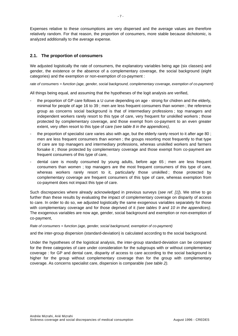Expenses relative to these consumptions are very dispersed and the average values are therefore relatively random. For that reason, the proportion of consumers, more stable because dichotomic, is analyzed additionally to the average expense.

# **2.1. The proportion of consumers**

We adjusted logistically the rate of consumers, the explanatory variables being age (six classes) and gender, the existence or the absence of a complementary coverage, the social background (eight categories) and the exemption or non-exemption of co-payment :

*rate of consumers = function (age, gender, social background, complementary coverage, exemption of co-payment)*

All things being equal, and assuming that the hypotheses of the logit analysis are verified,

- the proportion of GP care follows a U curve depending on age strong for chidren and the elderly, minimal for people of age 16 to 39 ; men are less frequent consumers than women ; the reference group as concerns social background is that of intermediary professions ; top managers and independent workers rarely resort to this type of care, very frequent for unskilled workers ; those protected by complementary coverage, and those exempt from co-payment to an even greater extent, very often resort to this type of care *(see table 8 in the appendices),*
- the proportion of specialist care varies also with age, but the elderly rarely resort to it after age 80 ; men are less frequent consumers than women ; the groups resorting most frequently to that type of care are top managers and intermediary professions, whereas unskilled workers and farmers forsake it ; those protected by complementary coverage and those exempt from co-payment are frequent consumers of this type of care,
- dental care is mostly consumed by young adults, before age 65; men are less frequent consumers than women ; top managers are the most frequent consumers of this type of care, whereas workers rarely resort to it, particularly those unskilled; those protected by complementary coverage are frequent consumers of this type of care, whereas exemption from co-payment does not impact this type of care.

Such discrepancies where already acknowledged in previous surveys (*see ref. [1]*). We strive to go further than these results by evaluating the impact of complementary coverage on disparity of access to care. In order to do so, we adjusted logistically the same exogenous variables separately for those with complementary coverage and for those deprived of it *(see tables 9 and 10 in the appendices).* The exogenous variables are now age, gender, social background and exemption or non-exemption of co-payment,

*Rate of consumers = function (age, gender, social background, exemption of co-payment)*

and the inter-group dispersion (standard-deviation) is calculated according to the social background.

Under the hypotheses of the logistical analysis, the inter-group standard-deviation can be compared for the three categories of care under consideration for the subgroups with or without complementary coverage : for GP and dental care, disparity of access to care according to the social background is higher for the group without complementary coverage than for the group with complementary coverage. As concerns specialist care, dispersion is comparable *(see table 2).*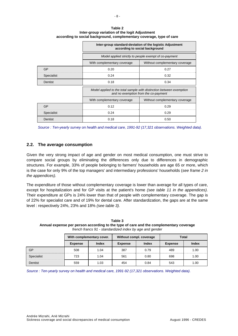**Table 2 Inter-group variation of the logit Adjustment according to social background, complementary coverage, type of care** 

|                   | Inter-group standard-deviation of the logistic Adjustment<br>according to social background                  |                                                       |  |  |  |  |
|-------------------|--------------------------------------------------------------------------------------------------------------|-------------------------------------------------------|--|--|--|--|
|                   |                                                                                                              | Model applied strictly to people exempt of co-payment |  |  |  |  |
|                   | With complementary coverage<br>Without complementary coverage                                                |                                                       |  |  |  |  |
| <b>GP</b>         | 0.20<br>0.27                                                                                                 |                                                       |  |  |  |  |
| Specialist        | 0.24<br>0.32                                                                                                 |                                                       |  |  |  |  |
| Dentist           | 0.18<br>0.34                                                                                                 |                                                       |  |  |  |  |
|                   | Model applied to the total sample with distinction between exemption<br>and no exemption from the co-payment |                                                       |  |  |  |  |
|                   | With complementary coverage                                                                                  | Without complementary coverage                        |  |  |  |  |
| <b>GP</b>         | 0.12                                                                                                         | 0.29                                                  |  |  |  |  |
| <b>Specialist</b> | 0.24<br>0.29                                                                                                 |                                                       |  |  |  |  |
| Dentist           | 0.18                                                                                                         | 0.50                                                  |  |  |  |  |

*Source : Ten-yearly survey on health and medical care, 1991-92 (17,321 observations. Weighted data).* 

## **2.2. The average consumption**

Given the very strong impact of age and gender on most medical consumption, one must strive to compare social groups by eliminating the differences only due to differences in demographic structures. For example, 33% of people belonging to farmers' households are age 65 or more, which is the case for only 9% of the top managers' and intermediary professions' households (*see frame 2 in the appendices).*

The expenditure of those without complementary coverage is lower than average for all types of care, except for hospitalization and for GP visits at the patient's home *(see table 11 in the appendices).* Their expenditure at GPs is 24% lower than that of people with complementary coverage. The gap is of 22% for specialist care and of 19% for dental care. After standardization, the gaps are at the same level : respectively 24%, 23% and 18% *(see table 3).*

|            | With complementary cover. |              |                | Without compl. coverage | <b>Total</b>   |              |  |
|------------|---------------------------|--------------|----------------|-------------------------|----------------|--------------|--|
|            | <b>Expense</b>            | <b>Index</b> | <b>Expense</b> | Index                   | <b>Expense</b> | <b>Index</b> |  |
| GP         | 508                       | 1.04         | 387            | 0.79                    | 489            | 1.00         |  |
| Specialist | 723                       | 1.04         | 561            | 0.80                    | 698            | 1.00         |  |
| Dentist    | 559                       | 1.03         | 454            | 0.84                    | 543            | 1.00         |  |

**Table 3 Annual expense per person according to the type of care and the complementary coverage**  *french francs 91 - standardized index by age and gender*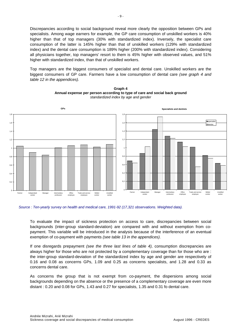Discrepancies according to social background reveal more clearly the opposition between GPs and specialists. Among wage earners for example, the GP care consumption of unskilled workers is 40% higher than that of top managers (30% with standardized index). Inversely, the specialist care consumption of the latter is 145% higher than that of unskilled workers (129% with standardized index) and the dental care consumption is 189% higher (200% with standardized index). Considering all physicians together, top managers' resort to them is 45% higher with observed values, and 51% higher with standardized index, than that of unskilled workers.

Top managers are the biggest consumers of specialist and dental care. Unskilled workers are the biggest consumers of GP care. Farmers have a low consumption of dental care *(see graph 4 and table 12 in the appendices).*



**Graph 4 Annual expense per person according to type of care and social back ground**  *standardized index by age and gender* 

### *Source : Ten-yearly survey on health and medical care, 1991-92 (17,321 observations. Weighted data).*

To evaluate the impact of sickness protection on access to care, discrepancies between social backgrounds (inter-group standard-deviation) are compared with and without exemption from copayment. This variable will be introduced in the analysis because of the interference of an eventual exemption of co-payment with payments *(see table 13 in the appendices).*

If one disregards prepayment *(see the three last lines of table 4),* consumption discrepancies are always higher for those who are not protected by a complementary coverage than for those who are : the inter-group standard-deviation of the standardized index by age and gender are respectively of 0.16 and 0.08 as concerns GPs, 1.09 and 0.25 as concerns specialists, and 1.28 and 0.33 as concerns dental care.

As concerns the group that is not exempt from co-payment, the dispersions among social backgrounds depending on the absence or the presence of a complementary coverage are even more distant : 0.20 and 0.08 for GPs, 1.43 and 0.27 for specialists, 1.35 and 0.31 fo dental care.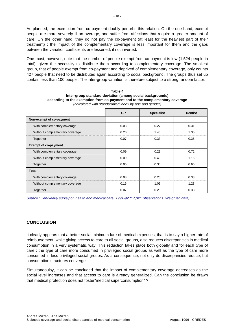As planned, the exemption from co-payment doubly perturbs this relation. On the one hand, exempt people are more severely ill on average, and suffer from affections that require a greater amount of care. On the other hand, they do not pay the co-payment (at least for the heaviest part of their treatment) : the impact of the complementary coverage is less important for them and the gaps between the variation coefficients are lessened, if not inverted.

One most, however, note that the number of people exempt from co-payment is low (1,524 people in total), given the necessity to distribute them according to complementary coverage. The smallest group, that of people exempt from co-payment and deprived of complementary coverage, only counts 427 people that need to be distributed again according to social background. The groups thus set up contain less than 100 people. The inter-group variation is therefore subject to a strong random factor.

|                                | $\alpha$ , and the contract and can be a set of $\alpha$ , $\alpha$ and $\beta$ and $\alpha$ |                   |                |  |  |  |  |
|--------------------------------|----------------------------------------------------------------------------------------------|-------------------|----------------|--|--|--|--|
|                                | <b>GP</b>                                                                                    | <b>Specialist</b> | <b>Dentist</b> |  |  |  |  |
| Non-exempt of co-payment       |                                                                                              |                   |                |  |  |  |  |
| With complementary coverage    | 0.08                                                                                         | 0.27              | 0.31           |  |  |  |  |
| Without complementary coverage | 0.20                                                                                         | 1.43              | 1.35           |  |  |  |  |
| Together                       | 0.07                                                                                         | 0.33              | 0.36           |  |  |  |  |
| <b>Exempt of co-payment</b>    |                                                                                              |                   |                |  |  |  |  |
| With complementary coverage    | 0.09                                                                                         | 0.29              | 0.72           |  |  |  |  |
| Without complementary coverage | 0.09                                                                                         | 0.40              | 1.16           |  |  |  |  |
| Together                       | 0.06                                                                                         | 0.30              | 0.66           |  |  |  |  |
| <b>Total</b>                   |                                                                                              |                   |                |  |  |  |  |
| With complementary coverage    | 0.08                                                                                         | 0.25              | 0.33           |  |  |  |  |
| Without complementary coverage | 0.16                                                                                         | 1.09              | 1.28           |  |  |  |  |
| Together                       | 0.07                                                                                         | 0.28              | 0.38           |  |  |  |  |

**Table 4 Inter-group standard-deviation (among social backgrounds) according to the exemption from co-payment and to the complementary coverage**  *(calculated with standardized index by age and gender)* 

*Source : Ten-yearly survey on health and medical care, 1991-92 (17,321 observations. Weighted data).* 

# **CONCLUSION**

It clearly appears that a better social minimum fare of medical expenses, that is to say a higher rate of reimbursement, while giving access to care to all social groups, also reduces discrepancies in medical consumption in a very systematic way. This reduction takes place both globally and for each type of care : the type of care more consumed in privileged social groups as well as the type of care more consumed in less privileged social groups. As a consequence, not only do discrepancies reduce, but consumption structures converge.

Simultaneoulsy, it can be concluded that the impact of complementary coverage decreases as the social level increases and that access to care is already generalized. Can the conclusion be drawn that medical protection does not foster"medical superconsumption" ?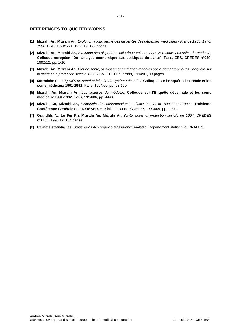## **REFERENCES TO QUOTED WORKS**

- [1] **Mizrahi An, Mizrahi Ar.,** *Evolution à long terme des disparités des dépenses médicales France 1960, 1970, 1980.* CREDES n°721, 1986/12, 172 pages.
- [2] **Mizrahi An, Mizrahi Ar.,** *Evolution des disparités socio-économiques dans le recours aux soins de médecin.* **Colloque européen "De l'analyse économique aux politiques de santé"**. Paris, CES, CREDES n°949, 1992/12, pp. 1-10.
- [3] **Mizrahi An, Mizrahi Ar.,** *Etat de santé, vieillissement relatif et variables socio-démographiques : enquête sur la santé et la protection sociale 1988-1991.* CREDES n°999, 1994/01, 93 pages.
- [4] **Mormiche P.,** *Inégalités de santé et iniquité du système de soins.* **Colloque sur l'Enquête décennale et les soins médicaux 1991-1992.** Paris, 1994/06, pp. 98-109.
- [5] **Mizrahi An, Mizrahi Ar.,** *Les séances de médecin.* **Colloque sur l'Enquête décennale et les soins médicaux 1991-1992.** Paris, 1994/06, pp. 44-68.
- [6] **Mizrahi An, Mizrahi Ar.,** *Disparités de consommation médicale et état de santé en France.* **Troisième Conférence Générale de FICOSSER.** Helsinki, Finlande, CREDES, 1994/09, pp. 1-27.
- [7] **Grandfils N., Le Fur Ph, Mizrahi An, Mizrahi Ar,** *Santé, soins et protection sociale en 1994.* CREDES n°1103, 1995/12, 154 pages.
- [8] **Carnets statistiques**, Statistiques des régimes d'assurance maladie, Département statistique, CNAMTS.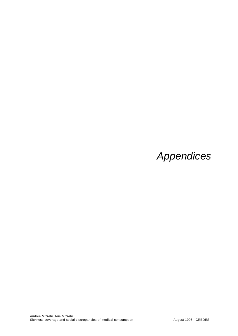# *Appendices*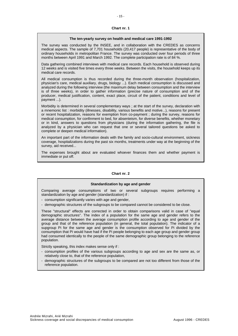# $-15 -$

#### **Chart nr. 1**

#### **The ten-yearly survey on health and medical care 1991-1992**

The survey was conducted by the INSEE, and in collaboration with the CREDES as concerns medical aspects. The sample of 7,701 households (20,417 people) is representative of the body of ordinary households in metropolitan France. The survey was conducted over four periods of three months between April 1991 and March 1992. The complete participation rate is of 84 %.

Data gathering combined interviews with medical care records. Each household is observed during 12 weeks and is visited five times every three weeks. Between the visits, the household keeps up its medical care records.

All medical consumption is thus recorded during the three-month observation (hospitalization, physician's care, medical auxiliary, drugs, biology ...). Each medical consumption is discussed and analyzed during the following interview (the maximum delay between consumption and the interview is of three weeks), in order to gather information (precise nature of consumption and of the producer, medical justification, content, exact place, circuit of the patient, conditions and level of payment ...).

Morbidity is determined in several complementary ways ; at the start of the survey, declaration with a mnemonic list : morbidity (illnesses, disability, various benefits and motive...), reasons for present or recent hospitalization, reasons for exemption from co-payment ; during the survey, reasons for medical consumption, for confinment to bed, for absenteism, for diverse benefits, whether monetary or in kind, answers to questions from physicians (during the information gathering, the file is analyzed by a physician who can request that one or several tailored questions be asked to complete or deepen medical information).

An important part of the information deals with the family and socio-cultural environment, sickness coverage, hospitalizations during the past six months, treatments under way at the beginning of the survey, aid received...

The expenses brought about are evaluated whoever finances them and whether payment is immediate or put off.

#### **Chart nr. 2**

#### **Standardization by age and gender**

Comparing average consumptions of two or several subgroups requires performing a standardization by age and gender (standardization) if :

- consumption significantly varies with age and gender,
- demographic structures of the subgroups to be compared cannot be considered to be close.

These "structural" effects are corrected in order to obtain comparisons valid in case of "equal demographic structures". The index of a population for the same age and gender refers to the average distance between the average consumption profile according to age and gender of the group and that of the reference population (in general, the total population). The indicator of a supgroup Pi for the same age and gender is the consumption observed for Pi divided by the consumption that Pi would have had if the Pi people belonging to each age group and gender group had consumed identically to the people of the same demographic group belonging to the reference population.

Strictly speaking, this index makes sense only if :

- consumption profiles of the various subgroups according to age and sex are the same as, or relatively close to, that of the reference population,
- demographic structures of the subgroups to be compared are not too different from those of the reference population.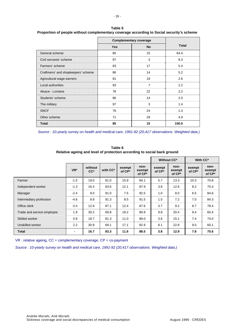|                                    |            | <b>Complementary coverage</b> |              |  |  |
|------------------------------------|------------|-------------------------------|--------------|--|--|
|                                    | <b>Yes</b> | <b>No</b>                     | <b>Total</b> |  |  |
| General scheme                     | 85         | 15                            | 64.4         |  |  |
| Civil servants' scheme             | 97         | 3                             | 8.3          |  |  |
| Farmers' scheme                    | 83         | 17                            | 5.4          |  |  |
| Craftmens' and shopkeepers' scheme | 86         | 14                            | 5.2          |  |  |
| Agricultural wage-earners          | 81         | 19                            | 2.6          |  |  |
| Local authorities                  | 93         | 7                             | 2.2          |  |  |
| Alsace - Lorraine                  | 78         | 22                            | 2.2          |  |  |
| Students' scheme                   | 86         | 14                            | 2.0          |  |  |
| The military                       | 97         | 3                             | 1.4          |  |  |
| <b>SNCF</b>                        | 76         | 24                            | 1.3          |  |  |
| Other scheme                       | 71         | 29                            | 4.9          |  |  |
| <b>Total</b>                       | 85         | 15                            | 100.0        |  |  |

**Table 5 Proportion of people without complementary coverage according to Social security's scheme** 

*Source : 10-yearly survey on health and medical care, 1991-92 (20,417 observations. Weighted data.)* 

**Without CC\***  $\parallel$  **Without CC\***  $\parallel$  With CC\* **VR\* without with CC\* exempt of CP\* of CP\* nonexempt of CP\* exempt of CP\* nonexempt of CP\* exempt of CP\* nonexempt of CP\***  Farmer -1.5 19.0 81.0 15.9 84.1 5.7 13.3 10.3 70.8 Independent worker | -1.3 || 16.4 | 83.6 || 12.1 | 87.9 || 3.8 | 12.6 || 8.2 | 75.4 Manager -2.4 9.0 91.0 7.5 92.5 1.0 8.0 6.5 84.6 Intermediary profession | -4.6 || 8.8 | 91.3 || 8.5 | 91.5 || 1.5 | 7.2 || 7.0 | 84.3 Office clerk | 0.4 || 12.9 | 87.1 || 12.4 | 87.6 || 3.7 | 9.2 || 8.7 | 78.4 Trade and service employee 1.9 30.2 69.8 19.2 80.8 9.8 20.4 9.4 60.4 Skilled worker 0.8 18.7 81.3 11.0 89.0 3.6 15.1 7.4 74.0 Unskilled worker 2.2 30.9 69.1 17.1 82.9 8.1 22.8 9.0 60.1 **Total - 16.7 83.3 11.6 88.5 3.8 12.9 7.8 75.6** 

**Table 6 Relative ageing and level of protection according to social back ground** 

 $VR:$  relative ageing,  $CC =$  complementary coverage,  $CP =$  co-payment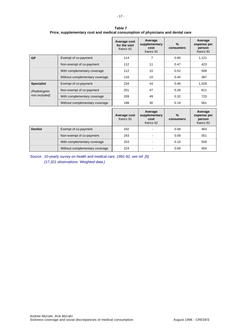|                   |                                | Average cost<br>for the visit<br>francs 91 | Average<br>supplementary<br>cost<br>francs 91 | %<br>consumers | Average<br>expense per<br>person<br>francs 91 |
|-------------------|--------------------------------|--------------------------------------------|-----------------------------------------------|----------------|-----------------------------------------------|
| <b>GP</b>         | Exempt of co-payment           | 114                                        |                                               | 0.80           | 1.121                                         |
|                   | Non-exempt of co-payment       | 112                                        | 11                                            | 0.47           | 423                                           |
|                   | With complementary coverage    | 112                                        | 10                                            | 0.52           | 508                                           |
|                   | Without complementary coverage | 116                                        | 10                                            | 0.40           | 387                                           |
| <b>Specialist</b> | Exempt of co-payment           | 234                                        | 44                                            | 0.46           | 1.528                                         |
| (Radiologists)    | Non-exempt of co-payment       | 201                                        | 47                                            | 0.26           | 611                                           |
| non included)     | With complementary coverage    | 209                                        | 49                                            | 0.32           | 723                                           |
|                   | Without complementary coverage | 198                                        | 30                                            | 0.19           | 561                                           |
|                   |                                |                                            | Average                                       |                | Average                                       |

**Table 7 Price, supplementary cost and medical consumption of physicians and dental care** 

|                |                                | Average cost<br>francs 91 | Average<br>supplementary<br>cost<br>francs 91 | $\frac{9}{6}$<br>consumers | Average<br>expense per<br><b>person</b><br>francs 91 |
|----------------|--------------------------------|---------------------------|-----------------------------------------------|----------------------------|------------------------------------------------------|
| <b>Dentist</b> | Exempt of co-payment           | 332                       |                                               | 0.08                       | 463                                                  |
|                | Non-exempt of co-payment       | 243                       |                                               | N N9                       | 551                                                  |
|                | With complementary coverage    | 253                       |                                               | 0.10                       | 559                                                  |
|                | Without complementary coverage |                           |                                               |                            |                                                      |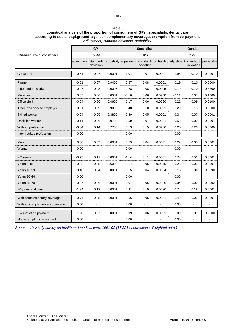#### **Table 8 Logistical analysis of the proportion of consumers of GPs', specialists, dental care according to social bagkground, age, sex,complementary coverage, exemption from co-payment**  *Adjustment, standard-deviation, probability*

|                                | <b>GP</b>            |           |        | <b>Specialist</b>                |                |         | <b>Dentist</b>                   |           |             |
|--------------------------------|----------------------|-----------|--------|----------------------------------|----------------|---------|----------------------------------|-----------|-------------|
| Observed size of consumers     |                      | 8649      |        | 5061                             |                | 2 2 9 5 |                                  |           |             |
|                                | adjustment standard- | deviation |        | probability adjustment standard- | deviation      |         | probability adjustment standard- | deviation | probability |
| Constante                      | 0.51                 | 0.07      | 0.0001 | 1.01                             | 0.07           | 0.0001  | 1.98                             | 0.10      | 0.0001      |
| Farmer                         | $-0.01$              | 0.07      | 0.9400 | 0.57                             | 0.08           | 0.0001  | 0.19                             | 0.10      | 0.0600      |
| Independent worker             | 0.27                 | 0.08      | 0.0005 | 0.28                             | 0.08           | 0.0005  | 0.10                             | 0.10      | 0.3200      |
| Manager                        | 0.35                 | 0.06      | 0.0001 | $-0.10$                          | 0.06           | 0.0950  | $-0.11$                          | 0.07      | 0.1200      |
| Office clerk                   | $-0.04$              | 0.06      | 0.4600 | 0.17                             | 0.06           | 0.0090  | 0.22                             | 0.09      | 0.0100      |
| Trade and service employee     | -0.01                | 0.09      | 0.9000 | 0.40                             | 0.10           | 0.0001  | 0.29                             | 0.13      | 0.0200      |
| Skilled worker                 | $-0.04$              | 0.05      | 0.3800 | 0.39                             | 0.05           | 0.0001  | 0.34                             | 0.07      | 0.0001      |
| Unskilled worker               | -0.11                | 0.06      | 0.0700 | 0.59                             | 0.07           | 0.0001  | 0.52                             | 0.09      | 0.0001      |
| Without profession             | $-0.04$              | 0.14      | 0.7700 | 0.13                             | 0.15           | 0.3900  | 0.20                             | 0.20      | 0.3200      |
| Intermediary profession        | 0.00                 |           |        | 0.00                             |                |         | 0.00                             |           |             |
| Man                            | 0.38                 | 0.03      | 0.0001 | 0.59                             | 0.04           | 0.0001  | 0.29                             | 0.05      | 0.0001      |
| Woman                          | 0.00                 |           |        | 0.00                             |                |         | 0.00                             |           |             |
| < 2 years                      | -0.75                | 0.11      | 0.0001 | $-1.14$                          | 0.11           | 0.0001  | 2.74                             | 0.51      | 0.0001      |
| Years 2-15                     | 0.02                 | 0.05      | 0.6000 | 0.14                             | 0.05           | 0.0070  | $-0.25$                          | 0.07      | 0.0001      |
| <b>Years 16-29</b>             | 0.40                 | 0.04      | 0.0001 | 0.15                             | 0.04           | 0.0004  | $-0.15$                          | 0.06      | 0.0090      |
| Years 30-64                    | 0.00                 |           |        | 0.00                             |                |         | 0.00                             |           |             |
| <b>Years 65-79</b>             | $-0.87$              | 0.06      | 0.0001 | $-0.07$                          | 0.06           | 0.2800  | 0.34                             | 0.09      | 0.0002      |
| 80 years and over              | $-1.34$              | 0.12      | 0.0001 | 0.31                             | 0.10           | 0.0030  | 0.74                             | 0.18      | 0.0001      |
| With complementary coverage    | $-0.74$              | 0.05      | 0.0001 | $-0.66$                          | 0.06           | 0.0001  | $-0.42$                          | 0.07      | 0.0001      |
| Without complementary coverage | 0.00                 | ä,        |        | 0.00                             | $\overline{a}$ |         | 0.00                             |           |             |
| Exempt of co-payment           | -1.28                | 0.07      | 0.0001 | $-0.99$                          | 0.06           | 0.0001  | $-0.09$                          | 0.09      | 0.2900      |
| Non-exempt of co-payment       | 0.00                 |           |        | 0.00                             |                |         | 0.00                             |           |             |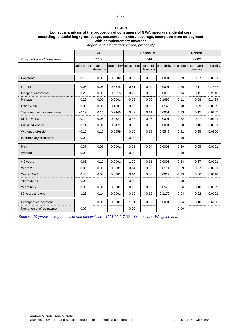#### **Table 9 Logistical analysis of the proportion of consumers of GPs', specialists, dental care according to social bagkground, age, sex,complementary coverage, exemption from co-payment With complementary coverage**  *Adjustment, standard-deviation, probability*

|                            | <b>GP</b>  |                        |        | <b>Specialist</b>      |                        |        | <b>Dentist</b>                   |                |             |  |
|----------------------------|------------|------------------------|--------|------------------------|------------------------|--------|----------------------------------|----------------|-------------|--|
| Observed size of consumers |            | 7660                   |        |                        | 4549                   |        |                                  | 2086           |             |  |
|                            | adjustment | standard-<br>deviation |        | probability adjustment | standard-<br>deviation |        | probability adjustment standard- | deviation      | probability |  |
| Constante                  | $-0.18$    | 0.05                   | 0.0002 | 0.35                   | 0.05                   | 0.0001 | 1.59                             | 0.07           | 0.0001      |  |
| Farmer                     | $-0.05$    | 0.08                   | 0.5545 | 0.61                   | 0.09                   | 0.0001 | 0.16                             | 0.11           | 0.1487      |  |
| Independent worker         | 0.26       | 0.08                   | 0.0015 | 0.27                   | 0.09                   | 0.0019 | 0.14                             | 0.11           | 0.2113      |  |
| Manager                    | 0.29       | 0.06                   | 0.0001 | $-0.09$                | 0.06                   | 0.1490 | $-0.11$                          | 0.08           | 0.1434      |  |
| Office clerk               | $-0.09$    | 0.06                   | 0.1837 | 0.16                   | 0.07                   | 0.0140 | 0.18                             | 0.09           | 0.0389      |  |
| Trade and service employee | $-0.12$    | 0.10                   | 0.2446 | 0.42                   | 0.11                   | 0.0001 | 0.33                             | 0.15           | 0.0233      |  |
| Skilled worker             | $-0.10$    | 0.05                   | 0.0527 | 0.38                   | 0.05                   | 0.0001 | 0.32                             | 0.07           | 0.0001      |  |
| Unskilled worker           | $-0.14$    | 0.07                   | 0.0471 | 0.59                   | 0.08                   | 0.0001 | 0.50                             | 0.10           | 0.0001      |  |
| Without profession         | $-0.10$    | 0.17                   | 0.5559 | 0.10                   | 0.18                   | 0.5548 | 0.42                             | 0.25           | 0.0956      |  |
| Intermediary profession    | 0.00       | ä,                     |        | 0.00                   |                        |        | 0.00                             |                |             |  |
| Man                        | 0.37       | 0.03                   | 0.0001 | 0.61                   | 0.04                   | 0.0001 | 0.29                             | 0.05           | 0.0001      |  |
| Woman                      | 0.00       | $\blacksquare$         |        | 0.00                   |                        |        | 0.00                             |                |             |  |
| $<$ 2 years                | $-0.63$    | 0.12                   | 0.0001 | $-1.09$                | 0.11                   | 0.0001 | 2.83                             | 0.57           | 0.0001      |  |
| Years 2-15                 | 0.00       | 0.05                   | 0.9331 | 0.14                   | 0.06                   | 0.0114 | $-0.29$                          | 0.07           | 0.0001      |  |
| <b>Years 16-29</b>         | 0.40       | 0.04                   | 0.0001 | 0.14                   | 0.05                   | 0.0017 | $-0.19$                          | 0.06           | 0.0010      |  |
| <b>Years 30-64</b>         | 0.00       |                        |        | 0.00                   | $\blacksquare$         |        | 0.00                             | $\blacksquare$ |             |  |
| <b>Years 65-79</b>         | $-0.90$    | 0.07                   | 0.0001 | $-0.12$                | 0.07                   | 0.0576 | 0.26                             | 0.10           | 0.0059      |  |
| 80 years and over          | $-1.23$    | 0.14                   | 0.0001 | 0.19                   | 0.12                   | 0.1170 | 0.94                             | 0.22           | 0.0001      |  |
| Exempt of co-payment       | $-1.18$    | 0.08                   | 0.0001 | $-1.01$                | 0.07                   | 0.0001 | $-0.04$                          | 0.10           | 0.6793      |  |
| Non-exempt of co-payment   | 0.00       |                        |        | 0.00                   |                        |        | 0.00                             |                |             |  |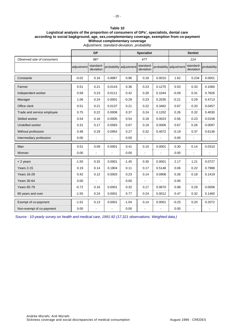#### **Table 10 Logistical analysis of the proportion of consumers of GPs', specialists, dental care according to social bagkground, age, sex,complementary coverage, exemption from co-payment Without complementary coverage**  *Adjustment, standard-deviation, probability*

|                            | GP         |                       |        | <b>Specialist</b>      |                       |        | <b>Dentist</b>         |                       |             |
|----------------------------|------------|-----------------------|--------|------------------------|-----------------------|--------|------------------------|-----------------------|-------------|
| Observed size of consumers |            | 987                   |        | 477                    |                       |        | 214                    |                       |             |
|                            | adjustment | standard<br>deviation |        | probability adjustment | standard<br>deviation |        | probability adjustment | standard<br>deviation | probability |
| Constante                  | $-0.02$    | 0.16                  | 0.8887 | 0.96                   | 0.18                  | 0.0010 | 1.62                   | 0.234                 | 0.0001      |
| Farmer                     | 0.51       | 0.21                  | 0.0143 | 0.36                   | 0.23                  | 0.1275 | 0.53                   | 0.33                  | 0.1060      |
| Independent worker         | 0.58       | 0.23                  | 0.0111 | 0.42                   | 0.26                  | 0.1044 | $-0.09$                | 0.31                  | 0.7826      |
| Manager                    | 1.06       | 0.24                  | 0.0001 | $-0.29$                | 0.23                  | 0.2035 | $-0.21$                | 0.29                  | 0.4713      |
| Office clerk               | 0.51       | 0.21                  | 0.0137 | 0.21                   | 0.22                  | 0.3462 | 0.67                   | 0.33                  | 0.0457      |
| Trade and service employee | 0.75       | 0.22                  | 0.0008 | 0.37                   | 0.24                  | 0.1202 | 0.26                   | 0.32                  | 0.4030      |
| Skilled worker             | 0.54       | 0.16                  | 0.0005 | 0.54                   | 0.18                  | 0.0023 | 0.56                   | 0.23                  | 0.0158      |
| Unskilled worker           | 0.31       | 0.17                  | 0.0583 | 0.67                   | 0.19                  | 0.0006 | 0.67                   | 0.26                  | 0.0097      |
| Without profession         | 0.48       | 0.29                  | 0.0954 | 0.27                   | 0.32                  | 0.4072 | $-0.19$                | 0.37                  | 0.6136      |
| Intermediary profession    | 0.00       | $\overline{a}$        |        | 0.00                   |                       |        | 0.00                   |                       |             |
| Man                        | 0.51       | 0.09                  | 0.0001 | 0.41                   | 0.10                  | 0.0001 | 0.30                   | 0.14                  | 0.0310      |
| Woman                      | 0.00       |                       |        | 0.00                   |                       |        | 0.00                   |                       |             |
| $<$ 2 years                | $-1.50$    | 0.32                  | 0.0001 | $-1.45$                | 0.30                  | 0.0001 | 2.17                   | 1.21                  | 0.0727      |
| Years 2-15                 | 0.19       | 0.14                  | 0.1804 | 0.11                   | 0.17                  | 0.5148 | 0.06                   | 0.22                  | 0.7988      |
| <b>Years 16-29</b>         | 0.42       | 0.12                  | 0.0003 | 0.23                   | 0.14                  | 0.0908 | 0.26                   | 0.18                  | 0.1419      |
| <b>Years 30-64</b>         | 0.00       | ÷                     |        | 0.00                   | $\overline{a}$        |        | 0.00                   |                       |             |
| <b>Years 65-79</b>         | $-0.72$    | 0.16                  | 0.0001 | 0.32                   | 0.17                  | 0.0670 | 0.98                   | 0.29                  | 0.0008      |
| 80 years and over          | $-1.55$    | 0.24                  | 0.0001 | 0.77                   | 0.24                  | 0.0012 | 0.47                   | 0.32                  | 0.1460      |
| Exempt of co-payment       | $-1.52$    | 0.13                  | 0.0001 | $-1.04$                | 0.14                  | 0.0001 | $-0.25$                | 0.20                  | 0.2072      |
| Non-exempt of co-payment   | 0.00       |                       |        | 0.00                   |                       |        | 0.00                   |                       |             |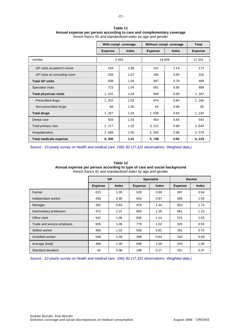|                               | With compl. coverage |              | Without compl. coverage | <b>Total</b> |                |
|-------------------------------|----------------------|--------------|-------------------------|--------------|----------------|
|                               | <b>Expense</b>       | <b>Index</b> | <b>Expense</b>          | <b>Index</b> | <b>Expense</b> |
| number                        |                      | 2 4 9 3      | 14828                   | 17321        |                |
| GP visits at patient's home   | 169                  | 0.98         | 197                     | 1.14         | 173            |
| GP visits at consulting room  | 339                  | 1.07         | 190                     | 0.60         | 316            |
| <b>Total GP visits</b>        | 508                  | 1.04         | 387                     | 0.79         | 489            |
| Specialist visits             | 723                  | 1.04         | 561                     | 0.80         | 698            |
| <b>Total physician visits</b> | 1, 231               | 1.04         | 948                     | 0.80         | 1, 187         |
| <b>Prescribed drugs</b>       | 1, 202               | 1.03         | 974                     | 0.84         | 1,166          |
| Non-prescribed drugs          | 66                   | 1.00         | 64                      | 0.98         | 65             |
| <b>Total drugs</b>            | 1,267                | 1.03         | 1,038                   | 0.84         | 1,232          |
| Dental care                   | 559                  | 1.03         | 454                     | 0.84         | 543            |
| Total primary care            | 3,717                | 1.02         | 3, 221                  | 0.89         | 3,640          |
| Hospitalization               | 2,589                | 1.00         | 2,526                   | 0.98         | 2,579          |
| <b>Total medicale expense</b> | 6,306                | 1.01         | 5,748                   | 0.92         | 6, 219         |

| Table 11                                                               |
|------------------------------------------------------------------------|
| Annual expense per person according to care and complementary coverage |
| french francs 91 and standardized index by age and gender              |

*Source : 10-yearly survey on health and medical care, 1991-92 (17,321 observations. Weighted data.)* 

#### **Table 12**

**Annual expense per person according to type of care and social background** 

*french francs 91 and standardized index by age and gender*

|                            | <b>GP</b>      |              |                | <b>Specialist</b> | <b>Dentist</b> |              |  |
|----------------------------|----------------|--------------|----------------|-------------------|----------------|--------------|--|
|                            | <b>Expense</b> | <b>Index</b> | <b>Expense</b> | <b>Index</b>      |                | <b>Index</b> |  |
| Farmer                     | 615            | 1.05         | 529            | 0.69              | 397            | 0.64         |  |
| Indépendant worker         | 458            | 0.90         | 654            | 0.87              | 585            | 1.03         |  |
| Manager                    | 392            | 0.84         | 976            | 1.44              | 953            | 1.74         |  |
| Intermediary profession    | 472            | 1.01         | 893            | 1.28              | 661            | 1.23         |  |
| Office clerk               | 541            | 1.06         | 836            | 1.14              | 574            | 1.03         |  |
| Trade and service employee | 605            | 1.08         | 779            | 1.02              | 325            | 0.55         |  |
| Skilled worker             | 466            | 1.03         | 558            | 0.82              | 391            | 0.75         |  |
| Unskilled worker           | 548            | 1.09         | 398            | 0.63              | 330            | 0.58         |  |
| Average (total)            | 489            | 1.00         | 698            | 1.00              | 543            | 1.00         |  |
| Standard-deviation         | 62             | 0.08         | 196            | 0.27              | 201            | 0.37         |  |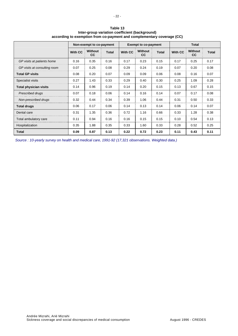|                               | Non-exempt to co-payment |                      |              |         | <b>Exempt to co-payment</b> |       | <b>Total</b>   |                      |              |
|-------------------------------|--------------------------|----------------------|--------------|---------|-----------------------------|-------|----------------|----------------------|--------------|
|                               | <b>With CC</b>           | <b>Without</b><br>CС | <b>Total</b> | With CC | <b>Without</b><br><b>CC</b> | Total | <b>With CC</b> | Without<br><b>CC</b> | <b>Total</b> |
| GP visits at patients home    | 0.16                     | 0.35                 | 0.16         | 0.17    | 0.23                        | 0.15  | 0.17           | 0.25                 | 0.17         |
| GP visits at consulting room  | 0.07                     | 0.25                 | 0.08         | 0.29    | 0.24                        | 0.19  | 0.07           | 0.20                 | 0.08         |
| <b>Total GP visits</b>        | 0.08                     | 0.20                 | 0.07         | 0.09    | 0.09                        | 0.06  | 0.08           | 0.16                 | 0.07         |
| Specialist visits             | 0.27                     | 1.43                 | 0.33         | 0.29    | 0.40                        | 0.30  | 0.25           | 1.09                 | 0.28         |
| <b>Total physician visits</b> | 0.14                     | 0.96                 | 0.19         | 0.14    | 0.20                        | 0.15  | 0.13           | 0.67                 | 0.15         |
| Prescribed drugs              | 0.07                     | 0.18                 | 0.06         | 0.14    | 0.16                        | 0.14  | 0.07           | 0.17                 | 0.08         |
| Non-prescribed drugs          | 0.32                     | 0.44                 | 0.34         | 0.39    | 1.06                        | 0.44  | 0.31           | 0.50                 | 0.33         |
| <b>Total drugs</b>            | 0.06                     | 0.17                 | 0.06         | 0.14    | 0.13                        | 0.14  | 0.06           | 0.14                 | 0.07         |
| Dental care                   | 0.31                     | 1.35                 | 0.36         | 0.72    | 1.16                        | 0.66  | 0.33           | 1.28                 | 0.38         |
| Total ambulatory care         | 0.11                     | 0.94                 | 0.16         | 0.16    | 0.15                        | 0.15  | 0.10           | 0.54                 | 0.13         |
| Hospitalization               | 0.35                     | 1.88                 | 0.35         | 0.33    | 1.60                        | 0.33  | 0.28           | 0.52                 | 0.25         |
| <b>Total</b>                  | 0.09                     | 0.87                 | 0.13         | 0.22    | 0.72                        | 0.23  | 0.11           | 0.43                 | 0.11         |

**Table 13 Inter-group variation coefficient (background) according to exemption from co-payment and complementary coverage (CC)** 

- 22 -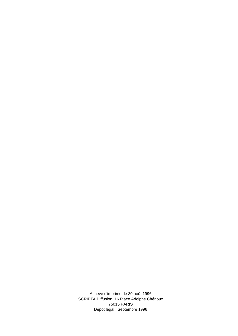Achevé d'imprimer le 30 août 1996 SCRIPTA Diffusion, 16 Place Adolphe Chérioux 75015 PARIS Dépôt légal : Septembre 1996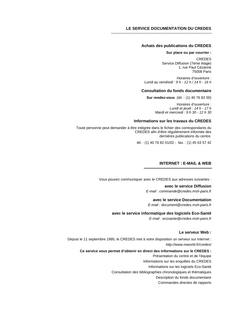#### **Achats des publications du CREDES**

#### **Sur place ou par courrier :**

CREDES Service Diffusion (7ème étage) 1, rue Paul Cézanne 75008 Paris

Horaires d'ouverture : *Lundi au vendredi : 9 h - 12 h / 14 h - 16 h* 

#### **Consultation du fonds documentaire**

**Sur rendez-vous** (tél. : (1) 40 76 82 00)

Horaires d'ouverture : *Lundi et jeudi : 14 h - 17 h Mardi et mercredi : 9 h 30 - 12 h 30* 

#### **Informations sur les travaux du CREDES**

Toute personne peut demander à être intégrée dans le fichier des correspondants du CREDES afin d'être régulièrement informée des dernières publications du centre.

tél. : (1) 40 76 82 01/02 - fax. : (1) 45 63 57 42

#### **INTERNET : E-MAIL & WEB**

Vous pouvez communiquer avec le CREDES aux adresses suivantes :

**avec le service Diffusion**  *E-mail : commande@credes.msh-paris.fr* 

#### **avec le service Documentation**

*E-mail : document@credes.msh-paris.fr* 

#### **avec le service informatique des logiciels Eco-Santé**

*E-mail : ecosante@credes.msh-paris.fr* 

#### **Le serveur Web :**

Depuis le 11 septembre 1995, le CREDES met à votre disposition un serveur sur Internet : *http://www.mworld.fr/credes/* 

#### **Ce service vous permet d'obtenir en direct des informations sur le CREDES :**

Présentation du centre et de l'équipe

Informations sur les enquêtes du CREDES

Informations sur les logiciels Eco-Santé

Consultation des bibliographies chronologiques et thématiques

Description du fonds documentaire

Commandes directes de rapports